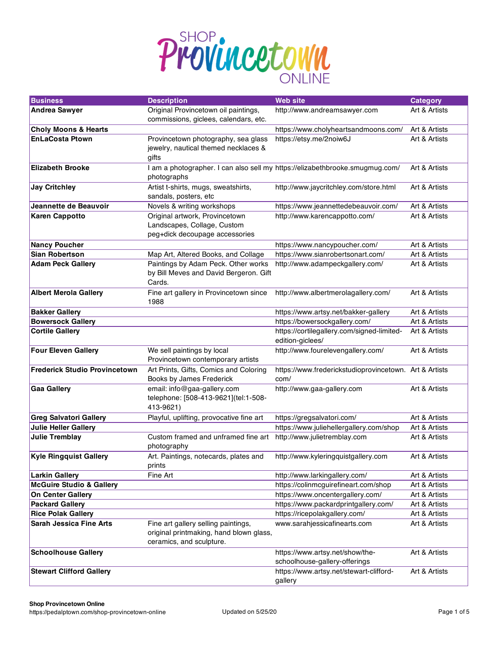

| <b>Business</b>                      | <b>Description</b>                                                                                         | <b>Web site</b>                                                              | <b>Category</b> |
|--------------------------------------|------------------------------------------------------------------------------------------------------------|------------------------------------------------------------------------------|-----------------|
| <b>Andrea Sawyer</b>                 | Original Provincetown oil paintings,<br>commissions, giclees, calendars, etc.                              | http://www.andreamsawyer.com                                                 | Art & Artists   |
| <b>Choly Moons &amp; Hearts</b>      |                                                                                                            | https://www.cholyheartsandmoons.com/                                         | Art & Artists   |
| <b>EnLaCosta Ptown</b>               | Provincetown photography, sea glass<br>jewelry, nautical themed necklaces &<br>gifts                       | https://etsy.me/2noiw6J                                                      | Art & Artists   |
| <b>Elizabeth Brooke</b>              | photographs                                                                                                | I am a photographer. I can also sell my https://elizabethbrooke.smugmug.com/ | Art & Artists   |
| <b>Jay Critchley</b>                 | Artist t-shirts, mugs, sweatshirts,<br>sandals, posters, etc                                               | http://www.jaycritchley.com/store.html                                       | Art & Artists   |
| Jeannette de Beauvoir                | Novels & writing workshops                                                                                 | https://www.jeannettedebeauvoir.com/                                         | Art & Artists   |
| <b>Karen Cappotto</b>                | Original artwork, Provincetown<br>Landscapes, Collage, Custom<br>peg+dick decoupage accessories            | http://www.karencappotto.com/                                                | Art & Artists   |
| <b>Nancy Poucher</b>                 |                                                                                                            | https://www.nancypoucher.com/                                                | Art & Artists   |
| <b>Sian Robertson</b>                | Map Art, Altered Books, and Collage                                                                        | https://www.sianrobertsonart.com/                                            | Art & Artists   |
| <b>Adam Peck Gallery</b>             | Paintings by Adam Peck. Other works<br>by Bill Meves and David Bergeron. Gift<br>Cards.                    | http://www.adampeckgallery.com/                                              | Art & Artists   |
| <b>Albert Merola Gallery</b>         | Fine art gallery in Provincetown since<br>1988                                                             | http://www.albertmerolagallery.com/                                          | Art & Artists   |
| <b>Bakker Gallery</b>                |                                                                                                            | https://www.artsy.net/bakker-gallery                                         | Art & Artists   |
| <b>Bowersock Gallery</b>             |                                                                                                            | https://bowersockgallery.com/                                                | Art & Artists   |
| <b>Cortile Gallery</b>               |                                                                                                            | https://cortilegallery.com/signed-limited-<br>edition-giclees/               | Art & Artists   |
| <b>Four Eleven Gallery</b>           | We sell paintings by local<br>Provincetown contemporary artists                                            | http://www.fourelevengallery.com/                                            | Art & Artists   |
| <b>Frederick Studio Provincetown</b> | Art Prints, Gifts, Comics and Coloring<br>Books by James Frederick                                         | https://www.frederickstudioprovincetown. Art & Artists<br>com/               |                 |
| <b>Gaa Gallery</b>                   | email: info@gaa-gallery.com<br>telephone: [508-413-9621](tel:1-508-<br>413-9621)                           | http://www.gaa-gallery.com                                                   | Art & Artists   |
| <b>Greg Salvatori Gallery</b>        | Playful, uplifting, provocative fine art                                                                   | https://gregsalvatori.com/                                                   | Art & Artists   |
| <b>Julie Heller Gallery</b>          |                                                                                                            | https://www.juliehellergallery.com/shop                                      | Art & Artists   |
| <b>Julie Tremblay</b>                | Custom framed and unframed fine art<br>photography                                                         | http://www.julietremblay.com                                                 | Art & Artists   |
| <b>Kyle Ringquist Gallery</b>        | Art. Paintings, notecards, plates and<br>prints                                                            | http://www.kyleringquistgallery.com                                          | Art & Artists   |
| <b>Larkin Gallery</b>                | Fine Art                                                                                                   | http://www.larkingallery.com/                                                | Art & Artists   |
| <b>McGuire Studio &amp; Gallery</b>  |                                                                                                            | https://colinmcguirefineart.com/shop                                         | Art & Artists   |
| <b>On Center Gallery</b>             |                                                                                                            | https://www.oncentergallery.com/                                             | Art & Artists   |
| <b>Packard Gallery</b>               |                                                                                                            | https://www.packardprintgallery.com/                                         | Art & Artists   |
| <b>Rice Polak Gallery</b>            |                                                                                                            | https://ricepolakgallery.com/                                                | Art & Artists   |
| <b>Sarah Jessica Fine Arts</b>       | Fine art gallery selling paintings,<br>original printmaking, hand blown glass,<br>ceramics, and sculpture. | www.sarahjessicafinearts.com                                                 | Art & Artists   |
| <b>Schoolhouse Gallery</b>           |                                                                                                            | https://www.artsy.net/show/the-<br>schoolhouse-gallery-offerings             | Art & Artists   |
| <b>Stewart Clifford Gallery</b>      |                                                                                                            | https://www.artsy.net/stewart-clifford-<br>gallery                           | Art & Artists   |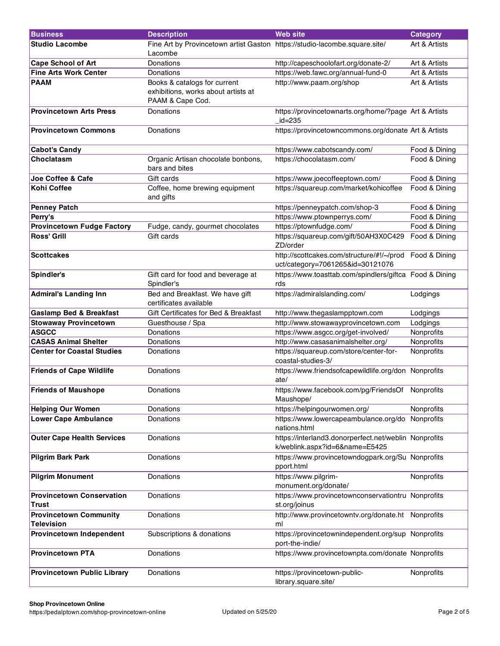| <b>Business</b>                                    | <b>Description</b>                                                                      | <b>Web</b> site                                                                             | <b>Category</b> |
|----------------------------------------------------|-----------------------------------------------------------------------------------------|---------------------------------------------------------------------------------------------|-----------------|
| <b>Studio Lacombe</b>                              | Fine Art by Provincetown artist Gaston https://studio-lacombe.square.site/<br>Lacombe   |                                                                                             | Art & Artists   |
| <b>Cape School of Art</b>                          | Donations                                                                               | http://capeschoolofart.org/donate-2/                                                        | Art & Artists   |
| <b>Fine Arts Work Center</b>                       | Donations                                                                               | https://web.fawc.org/annual-fund-0                                                          | Art & Artists   |
| <b>PAAM</b>                                        | Books & catalogs for current<br>exhibitions, works about artists at<br>PAAM & Cape Cod. | http://www.paam.org/shop                                                                    | Art & Artists   |
| <b>Provincetown Arts Press</b>                     | Donations                                                                               | https://provincetownarts.org/home/?page Art & Artists<br>$_id=235$                          |                 |
| <b>Provincetown Commons</b>                        | Donations                                                                               | https://provincetowncommons.org/donate Art & Artists                                        |                 |
| <b>Cabot's Candy</b>                               |                                                                                         | https://www.cabotscandy.com/                                                                | Food & Dining   |
| <b>Choclatasm</b>                                  | Organic Artisan chocolate bonbons,<br>bars and bites                                    | https://chocolatasm.com/                                                                    | Food & Dining   |
| Joe Coffee & Cafe                                  | Gift cards                                                                              | https://www.joecoffeeptown.com/                                                             | Food & Dining   |
| <b>Kohi Coffee</b>                                 | Coffee, home brewing equipment<br>and gifts                                             | https://squareup.com/market/kohicoffee                                                      | Food & Dining   |
| <b>Penney Patch</b>                                |                                                                                         | https://penneypatch.com/shop-3                                                              | Food & Dining   |
| Perry's                                            |                                                                                         | https://www.ptownperrys.com/                                                                | Food & Dining   |
| <b>Provincetown Fudge Factory</b>                  | Fudge, candy, gourmet chocolates                                                        | https://ptownfudge.com/                                                                     | Food & Dining   |
| <b>Ross' Grill</b>                                 | Gift cards                                                                              | https://squareup.com/gift/50AH3X0C429<br>ZD/order                                           | Food & Dining   |
| <b>Scottcakes</b>                                  |                                                                                         | http://scottcakes.com/structure/#!/~/prod Food & Dining<br>uct/category=7061265&id=30121076 |                 |
| Spindler's                                         | Gift card for food and beverage at<br>Spindler's                                        | https://www.toasttab.com/spindlers/giftca Food & Dining<br>rds                              |                 |
| <b>Admiral's Landing Inn</b>                       | Bed and Breakfast. We have gift<br>certificates available                               | https://admiralslanding.com/                                                                | Lodgings        |
| <b>Gaslamp Bed &amp; Breakfast</b>                 | Gift Certificates for Bed & Breakfast                                                   | http://www.thegaslampptown.com                                                              | Lodgings        |
| <b>Stowaway Provincetown</b>                       | Guesthouse / Spa                                                                        | http://www.stowawayprovincetown.com                                                         | Lodgings        |
| <b>ASGCC</b>                                       | Donations                                                                               | https://www.asgcc.org/get-involved/                                                         | Nonprofits      |
| <b>CASAS Animal Shelter</b>                        | Donations                                                                               | http://www.casasanimalshelter.org/                                                          | Nonprofits      |
| <b>Center for Coastal Studies</b>                  | Donations                                                                               | https://squareup.com/store/center-for-<br>coastal-studies-3/                                | Nonprofits      |
| <b>Friends of Cape Wildlife</b>                    | Donations                                                                               | https://www.friendsofcapewildlife.org/don Nonprofits<br>ate/                                |                 |
| <b>Friends of Maushope</b>                         | Donations                                                                               | https://www.facebook.com/pg/FriendsOf Nonprofits<br>Maushope/                               |                 |
| <b>Helping Our Women</b>                           | Donations                                                                               | https://helpingourwomen.org/                                                                | Nonprofits      |
| <b>Lower Cape Ambulance</b>                        | Donations                                                                               | https://www.lowercapeambulance.org/do Nonprofits<br>nations.html                            |                 |
| <b>Outer Cape Health Services</b>                  | Donations                                                                               | https://interland3.donorperfect.net/weblin Nonprofits<br>k/weblink.aspx?id=6&name=E5425     |                 |
| <b>Pilgrim Bark Park</b>                           | Donations                                                                               | https://www.provincetowndogpark.org/Su Nonprofits<br>pport.html                             |                 |
| <b>Pilgrim Monument</b>                            | Donations                                                                               | https://www.pilgrim-<br>monument.org/donate/                                                | Nonprofits      |
| <b>Provincetown Conservation</b><br><b>Trust</b>   | Donations                                                                               | https://www.provincetownconservationtru Nonprofits<br>st.org/joinus                         |                 |
| <b>Provincetown Community</b><br><b>Television</b> | Donations                                                                               | http://www.provincetowntv.org/donate.ht Nonprofits<br>ml                                    |                 |
| Provincetown Independent                           | Subscriptions & donations                                                               | https://provincetownindependent.org/sup Nonprofits<br>port-the-indie/                       |                 |
| <b>Provincetown PTA</b>                            | Donations                                                                               | https://www.provincetownpta.com/donate Nonprofits                                           |                 |
| <b>Provincetown Public Library</b>                 | Donations                                                                               | https://provincetown-public-<br>library.square.site/                                        | Nonprofits      |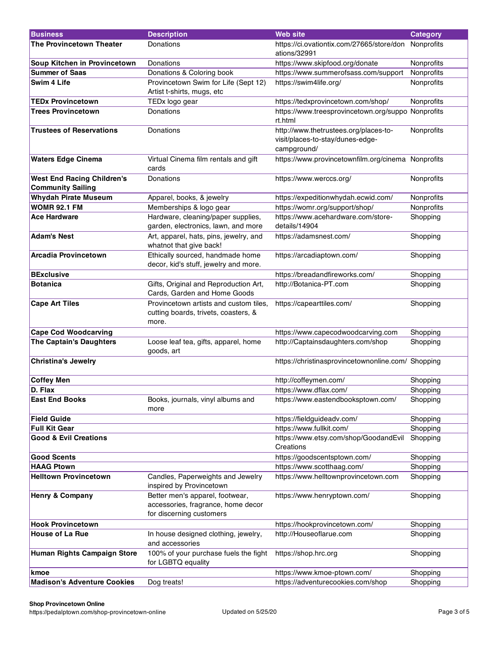| <b>Business</b>                                               | <b>Description</b>                                                                                | <b>Web site</b>                                                                          | <b>Category</b> |
|---------------------------------------------------------------|---------------------------------------------------------------------------------------------------|------------------------------------------------------------------------------------------|-----------------|
| The Provincetown Theater                                      | Donations                                                                                         | https://ci.ovationtix.com/27665/store/don Nonprofits<br>ations/32991                     |                 |
| Soup Kitchen in Provincetown                                  | Donations                                                                                         | https://www.skipfood.org/donate                                                          | Nonprofits      |
| <b>Summer of Saas</b>                                         | Donations & Coloring book                                                                         | https://www.summerofsass.com/support                                                     | Nonprofits      |
| Swim 4 Life                                                   | Provincetown Swim for Life (Sept 12)<br>Artist t-shirts, mugs, etc                                | https://swim4life.org/                                                                   | Nonprofits      |
| <b>TEDx Provincetown</b>                                      | TEDx logo gear                                                                                    | https://tedxprovincetown.com/shop/                                                       | Nonprofits      |
| <b>Trees Provincetown</b>                                     | Donations                                                                                         | https://www.treesprovincetown.org/suppo Nonprofits<br>rt.html                            |                 |
| <b>Trustees of Reservations</b>                               | Donations                                                                                         | http://www.thetrustees.org/places-to-<br>visit/places-to-stay/dunes-edge-<br>campground/ | Nonprofits      |
| <b>Waters Edge Cinema</b>                                     | Virtual Cinema film rentals and gift<br>cards                                                     | https://www.provincetownfilm.org/cinema Nonprofits                                       |                 |
| <b>West End Racing Children's</b><br><b>Community Sailing</b> | Donations                                                                                         | https://www.werccs.org/                                                                  | Nonprofits      |
| <b>Whydah Pirate Museum</b>                                   | Apparel, books, & jewelry                                                                         | https://expeditionwhydah.ecwid.com/                                                      | Nonprofits      |
| <b>WOMR 92.1 FM</b>                                           | Memberships & logo gear                                                                           | https://womr.org/support/shop/                                                           | Nonprofits      |
| <b>Ace Hardware</b>                                           | Hardware, cleaning/paper supplies,<br>garden, electronics, lawn, and more                         | https://www.acehardware.com/store-<br>details/14904                                      | Shopping        |
| <b>Adam's Nest</b>                                            | Art, apparel, hats, pins, jewelry, and<br>whatnot that give back!                                 | https://adamsnest.com/                                                                   | Shopping        |
| <b>Arcadia Provincetown</b>                                   | Ethically sourced, handmade home<br>decor, kid's stuff, jewelry and more.                         | https://arcadiaptown.com/                                                                | Shopping        |
| <b>BExclusive</b>                                             |                                                                                                   | https://breadandfireworks.com/                                                           | Shopping        |
| <b>Botanica</b>                                               | Gifts, Original and Reproduction Art,<br>Cards, Garden and Home Goods                             | http://Botanica-PT.com                                                                   | Shopping        |
| <b>Cape Art Tiles</b>                                         | Provincetown artists and custom tiles,<br>cutting boards, trivets, coasters, &<br>more.           | https://capearttiles.com/                                                                | Shopping        |
| <b>Cape Cod Woodcarving</b>                                   |                                                                                                   | https://www.capecodwoodcarving.com                                                       | Shopping        |
| The Captain's Daughters                                       | Loose leaf tea, gifts, apparel, home<br>goods, art                                                | http://Captainsdaughters.com/shop                                                        | Shopping        |
| <b>Christina's Jewelry</b>                                    |                                                                                                   | https://christinasprovincetownonline.com/ Shopping                                       |                 |
| <b>Coffey Men</b>                                             |                                                                                                   | http://coffeymen.com/                                                                    | Shopping        |
| D. Flax                                                       |                                                                                                   | https://www.dflax.com/                                                                   | Shopping        |
| <b>East End Books</b>                                         | Books, journals, vinyl albums and<br>more                                                         | https://www.eastendbooksptown.com/                                                       | Shopping        |
| <b>Field Guide</b>                                            |                                                                                                   | https://fieldguideadv.com/                                                               | Shopping        |
| <b>Full Kit Gear</b>                                          |                                                                                                   | https://www.fullkit.com/                                                                 | Shopping        |
| <b>Good &amp; Evil Creations</b>                              |                                                                                                   | https://www.etsy.com/shop/GoodandEvil<br>Creations                                       | Shopping        |
| <b>Good Scents</b>                                            |                                                                                                   | https://goodscentsptown.com/                                                             | Shopping        |
| <b>HAAG Ptown</b>                                             |                                                                                                   | https://www.scotthaag.com/                                                               | Shopping        |
| <b>Helltown Provincetown</b>                                  | Candles, Paperweights and Jewelry<br>inspired by Provincetown                                     | https://www.helltownprovincetown.com                                                     | Shopping        |
| <b>Henry &amp; Company</b>                                    | Better men's apparel, footwear,<br>accessories, fragrance, home decor<br>for discerning customers | https://www.henryptown.com/                                                              | Shopping        |
| <b>Hook Provincetown</b>                                      |                                                                                                   | https://hookprovincetown.com/                                                            | Shopping        |
| <b>House of La Rue</b>                                        | In house designed clothing, jewelry,<br>and accessories                                           | http://Houseoflarue.com                                                                  | Shopping        |
| Human Rights Campaign Store                                   | 100% of your purchase fuels the fight<br>for LGBTQ equality                                       | https://shop.hrc.org                                                                     | Shopping        |
| kmoe                                                          |                                                                                                   | https://www.kmoe-ptown.com/                                                              | Shopping        |
| <b>Madison's Adventure Cookies</b>                            | Dog treats!                                                                                       | https://adventurecookies.com/shop                                                        | Shopping        |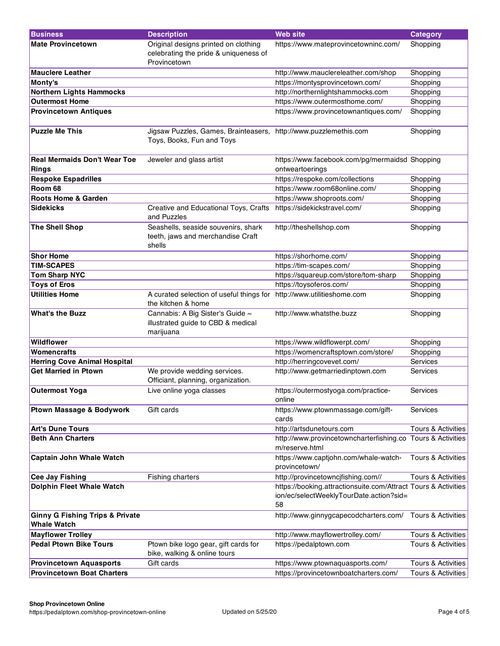| <b>Business</b>                                                  | <b>Description</b>                                                                            | <b>Web site</b>                                                                                                 | <b>Category</b>               |
|------------------------------------------------------------------|-----------------------------------------------------------------------------------------------|-----------------------------------------------------------------------------------------------------------------|-------------------------------|
| <b>Mate Provincetown</b>                                         | Original designs printed on clothing<br>celebrating the pride & uniqueness of                 | https://www.mateprovincetowninc.com/                                                                            | Shopping                      |
|                                                                  | Provincetown                                                                                  |                                                                                                                 |                               |
| <b>Mauclere Leather</b>                                          |                                                                                               | http://www.mauclereleather.com/shop                                                                             | Shopping                      |
| Monty's                                                          |                                                                                               | https://montysprovincetown.com/                                                                                 | Shopping                      |
| <b>Northern Lights Hammocks</b>                                  |                                                                                               | http://northernlightshammocks.com                                                                               | Shopping                      |
| <b>Outermost Home</b>                                            |                                                                                               | https://www.outermosthome.com/                                                                                  | Shopping                      |
| <b>Provincetown Antiques</b>                                     |                                                                                               | https://www.provincetownantiques.com/                                                                           | Shopping                      |
| <b>Puzzle Me This</b>                                            | Jigsaw Puzzles, Games, Brainteasers, http://www.puzzlemethis.com<br>Toys, Books, Fun and Toys |                                                                                                                 | Shopping                      |
| <b>Real Mermaids Don't Wear Toe</b><br><b>Rings</b>              | Jeweler and glass artist                                                                      | https://www.facebook.com/pg/mermaidsd Shopping<br>ontweartoerings                                               |                               |
| <b>Respoke Espadrilles</b>                                       |                                                                                               | https://respoke.com/collections                                                                                 | Shopping                      |
| Room 68                                                          |                                                                                               | https://www.room68online.com/                                                                                   | Shopping                      |
| <b>Roots Home &amp; Garden</b>                                   |                                                                                               | https://www.shoproots.com/                                                                                      | Shopping                      |
| <b>Sidekicks</b>                                                 | Creative and Educational Toys, Crafts<br>and Puzzles                                          | https://sidekickstravel.com/                                                                                    | Shopping                      |
| <b>The Shell Shop</b>                                            | Seashells, seaside souvenirs, shark<br>teeth, jaws and merchandise Craft<br>shells            | http://theshellshop.com                                                                                         | Shopping                      |
| <b>Shor Home</b>                                                 |                                                                                               | https://shorhome.com/                                                                                           | Shopping                      |
| <b>TIM-SCAPES</b>                                                |                                                                                               | https://tim-scapes.com/                                                                                         | Shopping                      |
| <b>Tom Sharp NYC</b>                                             |                                                                                               | https://squareup.com/store/tom-sharp                                                                            | Shopping                      |
| <b>Toys of Eros</b>                                              |                                                                                               | https://toysoferos.com/                                                                                         | Shopping                      |
| <b>Utilities Home</b>                                            | A curated selection of useful things for http://www.utilitieshome.com<br>the kitchen & home   |                                                                                                                 | Shopping                      |
| <b>What's the Buzz</b>                                           | Cannabis: A Big Sister's Guide ~<br>illustrated guide to CBD & medical<br>marijuana           | http://www.whatsthe.buzz                                                                                        | Shopping                      |
| <b>Wildflower</b>                                                |                                                                                               | https://www.wildflowerpt.com/                                                                                   | Shopping                      |
| <b>Womencrafts</b>                                               |                                                                                               | https://womencraftsptown.com/store/                                                                             | Shopping                      |
| <b>Herring Cove Animal Hospital</b>                              |                                                                                               | http://herringcovevet.com/                                                                                      | Services                      |
| <b>Get Married in Ptown</b>                                      | We provide wedding services.<br>Officiant, planning, organization.                            | http://www.getmarriedinptown.com                                                                                | Services                      |
| Outermost Yoga                                                   | Live online yoga classes                                                                      | https://outermostyoga.com/practice-<br>online                                                                   | Services                      |
| <b>Ptown Massage &amp; Bodywork</b>                              | Gift cards                                                                                    | https://www.ptownmassage.com/gift-<br>cards                                                                     | Services                      |
| <b>Art's Dune Tours</b>                                          |                                                                                               | http://artsdunetours.com                                                                                        | Tours & Activities            |
| <b>Beth Ann Charters</b>                                         |                                                                                               | http://www.provincetowncharterfishing.co Tours & Activities<br>m/reserve.html                                   |                               |
| <b>Captain John Whale Watch</b>                                  |                                                                                               | https://www.captjohn.com/whale-watch-<br>provincetown/                                                          | Tours & Activities            |
| <b>Cee Jay Fishing</b>                                           | <b>Fishing charters</b>                                                                       | http://provincetowncjfishing.com//                                                                              | Tours & Activities            |
| <b>Dolphin Fleet Whale Watch</b>                                 |                                                                                               | https://booking.attractionsuite.com/Attract Tours & Activities<br>ion/ec/selectWeeklyTourDate.action?sid=<br>58 |                               |
| <b>Ginny G Fishing Trips &amp; Private</b><br><b>Whale Watch</b> |                                                                                               | http://www.ginnygcapecodcharters.com/                                                                           | Tours & Activities            |
| <b>Mayflower Trolley</b>                                         |                                                                                               | http://www.mayflowertrolley.com/                                                                                | Tours & Activities            |
| <b>Pedal Ptown Bike Tours</b>                                    | Ptown bike logo gear, gift cards for<br>bike, walking & online tours                          | https://pedalptown.com                                                                                          | <b>Tours &amp; Activities</b> |
| <b>Provincetown Aquasports</b>                                   | Gift cards                                                                                    | https://www.ptownaquasports.com/                                                                                | Tours & Activities            |
| <b>Provincetown Boat Charters</b>                                |                                                                                               | https://provincetownboatcharters.com/                                                                           | Tours & Activities            |